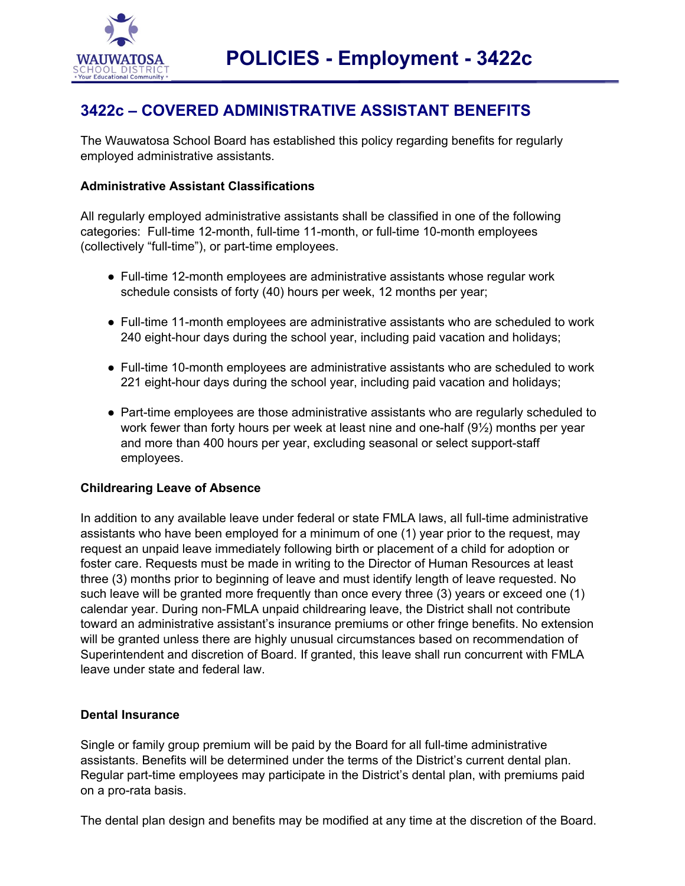

# **3422c – COVERED ADMINISTRATIVE ASSISTANT BENEFITS**

The Wauwatosa School Board has established this policy regarding benefits for regularly employed administrative assistants.

# **Administrative Assistant Classifications**

All regularly employed administrative assistants shall be classified in one of the following categories: Full-time 12-month, full-time 11-month, or full-time 10-month employees (collectively "full-time"), or part-time employees.

- Full-time 12-month employees are administrative assistants whose regular work schedule consists of forty (40) hours per week, 12 months per year;
- Full-time 11-month employees are administrative assistants who are scheduled to work 240 eight-hour days during the school year, including paid vacation and holidays;
- Full-time 10-month employees are administrative assistants who are scheduled to work 221 eight-hour days during the school year, including paid vacation and holidays;
- Part-time employees are those administrative assistants who are regularly scheduled to work fewer than forty hours per week at least nine and one-half  $(9\frac{1}{2})$  months per year and more than 400 hours per year, excluding seasonal or select support-staff employees.

# **Childrearing Leave of Absence**

In addition to any available leave under federal or state FMLA laws, all full-time administrative assistants who have been employed for a minimum of one (1) year prior to the request, may request an unpaid leave immediately following birth or placement of a child for adoption or foster care. Requests must be made in writing to the Director of Human Resources at least three (3) months prior to beginning of leave and must identify length of leave requested. No such leave will be granted more frequently than once every three (3) years or exceed one (1) calendar year. During non-FMLA unpaid childrearing leave, the District shall not contribute toward an administrative assistant's insurance premiums or other fringe benefits. No extension will be granted unless there are highly unusual circumstances based on recommendation of Superintendent and discretion of Board. If granted, this leave shall run concurrent with FMLA leave under state and federal law.

# **Dental Insurance**

Single or family group premium will be paid by the Board for all full-time administrative assistants. Benefits will be determined under the terms of the District's current dental plan. Regular part-time employees may participate in the District's dental plan, with premiums paid on a pro-rata basis.

The dental plan design and benefits may be modified at any time at the discretion of the Board.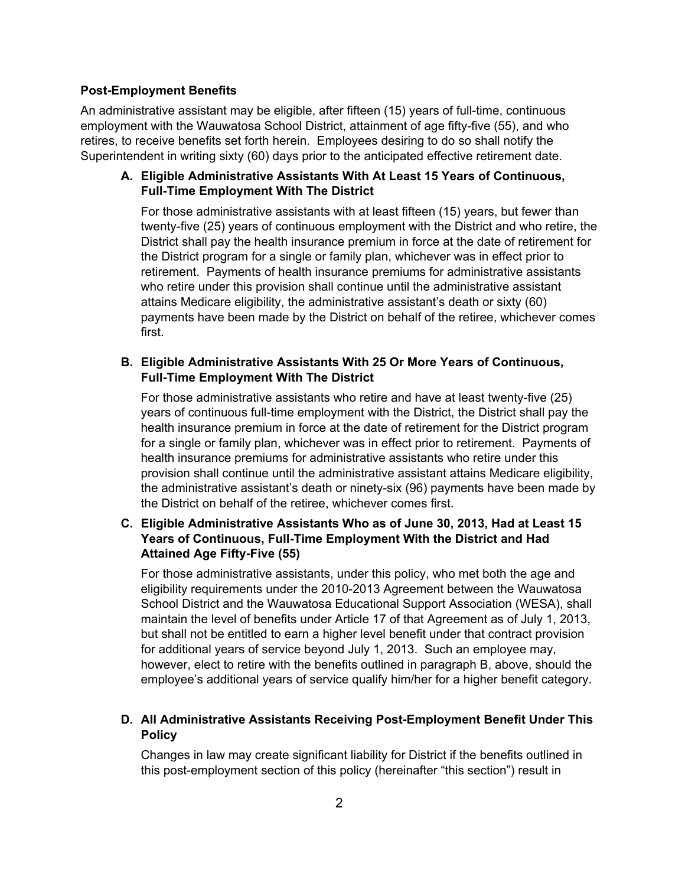#### **Post-Employment Benefits**

An administrative assistant may be eligible, after fifteen (15) years of full-time, continuous employment with the Wauwatosa School District, attainment of age fifty-five (55), and who retires, to receive benefits set forth herein. Employees desiring to do so shall notify the Superintendent in writing sixty (60) days prior to the anticipated effective retirement date.

## **A. Eligible Administrative Assistants With At Least 15 Years of Continuous, Full-Time Employment With The District**

For those administrative assistants with at least fifteen (15) years, but fewer than twenty-five (25) years of continuous employment with the District and who retire, the District shall pay the health insurance premium in force at the date of retirement for the District program for a single or family plan, whichever was in effect prior to retirement. Payments of health insurance premiums for administrative assistants who retire under this provision shall continue until the administrative assistant attains Medicare eligibility, the administrative assistant's death or sixty (60) payments have been made by the District on behalf of the retiree, whichever comes first.

## **B. Eligible Administrative Assistants With 25 Or More Years of Continuous, Full-Time Employment With The District**

For those administrative assistants who retire and have at least twenty-five (25) years of continuous full-time employment with the District, the District shall pay the health insurance premium in force at the date of retirement for the District program for a single or family plan, whichever was in effect prior to retirement. Payments of health insurance premiums for administrative assistants who retire under this provision shall continue until the administrative assistant attains Medicare eligibility, the administrative assistant's death or ninetysix (96) payments have been made by the District on behalf of the retiree, whichever comes first.

# **C. Eligible Administrative Assistants Who as of June 30, 2013, Had at Least 15 Years of Continuous, Full-Time Employment With the District and Had Attained Age Fifty-Five (55)**

For those administrative assistants, under this policy, who met both the age and eligibility requirements under the 2010-2013 Agreement between the Wauwatosa School District and the Wauwatosa Educational Support Association (WESA), shall maintain the level of benefits under Article 17 of that Agreement as of July 1, 2013, but shall not be entitled to earn a higher level benefit under that contract provision for additional years of service beyond July 1, 2013. Such an employee may, however, elect to retire with the benefits outlined in paragraph B, above, should the employee's additional years of service qualify him/her for a higher benefit category.

# **D. All Administrative Assistants Receiving PostEmployment Benefit Under This Policy**

Changes in law may create significant liability for District if the benefits outlined in this post-employment section of this policy (hereinafter "this section") result in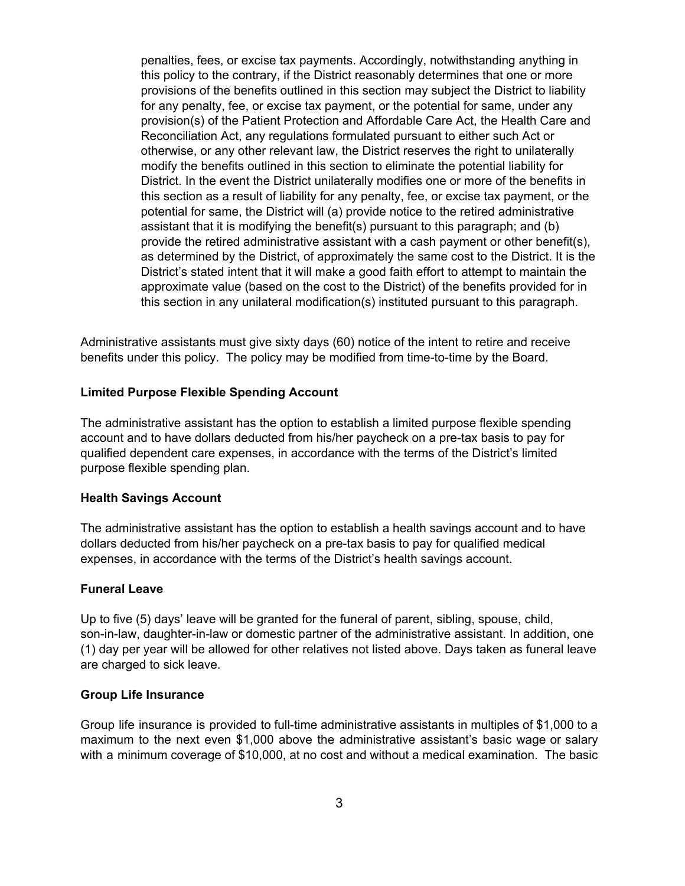penalties, fees, or excise tax payments. Accordingly, notwithstanding anything in this policy to the contrary, if the District reasonably determines that one or more provisions of the benefits outlined in this section may subject the District to liability for any penalty, fee, or excise tax payment, or the potential for same, under any provision(s) of the Patient Protection and Affordable Care Act, the Health Care and Reconciliation Act, any regulations formulated pursuant to either such Act or otherwise, or any other relevant law, the District reserves the right to unilaterally modify the benefits outlined in this section to eliminate the potential liability for District. In the event the District unilaterally modifies one or more of the benefits in this section as a result of liability for any penalty, fee, or excise tax payment, or the potential for same, the District will (a) provide notice to the retired administrative assistant that it is modifying the benefit(s) pursuant to this paragraph; and (b) provide the retired administrative assistant with a cash payment or other benefit(s), as determined by the District, of approximately the same cost to the District. It is the District's stated intent that it will make a good faith effort to attempt to maintain the approximate value (based on the cost to the District) of the benefits provided for in this section in any unilateral modification(s) instituted pursuant to this paragraph.

Administrative assistants must give sixty days (60) notice of the intent to retire and receive benefits under this policy. The policy may be modified from time-to-time by the Board.

## **Limited Purpose Flexible Spending Account**

The administrative assistant has the option to establish a limited purpose flexible spending account and to have dollars deducted from his/her paycheck on a pre-tax basis to pay for qualified dependent care expenses, in accordance with the terms of the District's limited purpose flexible spending plan.

#### **Health Savings Account**

The administrative assistant has the option to establish a health savings account and to have dollars deducted from his/her paycheck on a pre-tax basis to pay for qualified medical expenses, in accordance with the terms of the District's health savings account.

#### **Funeral Leave**

Up to five (5) days' leave will be granted for the funeral of parent, sibling, spouse, child, son-in-law, daughter-in-law or domestic partner of the administrative assistant. In addition, one (1) day per year will be allowed for other relatives not listed above. Days taken as funeral leave are charged to sick leave.

#### **Group Life Insurance**

Group life insurance is provided to full-time administrative assistants in multiples of \$1,000 to a maximum to the next even \$1,000 above the administrative assistant's basic wage or salary with a minimum coverage of \$10,000, at no cost and without a medical examination. The basic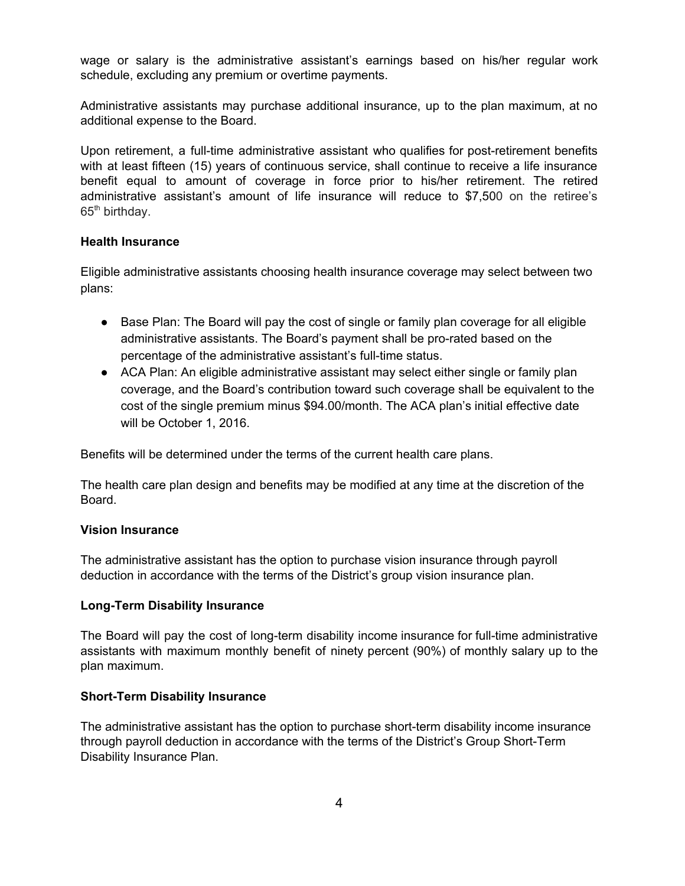wage or salary is the administrative assistant's earnings based on his/her regular work schedule, excluding any premium or overtime payments.

Administrative assistants may purchase additional insurance, up to the plan maximum, at no additional expense to the Board.

Upon retirement, a full-time administrative assistant who qualifies for post-retirement benefits with at least fifteen (15) years of continuous service, shall continue to receive a life insurance benefit equal to amount of coverage in force prior to his/her retirement. The retired administrative assistant's amount of life insurance will reduce to \$7,500 on the retiree's 65<sup>th</sup> birthday.

## **Health Insurance**

Eligible administrative assistants choosing health insurance coverage may select between two plans:

- Base Plan: The Board will pay the cost of single or family plan coverage for all eligible administrative assistants. The Board's payment shall be pro-rated based on the percentage of the administrative assistant's full-time status.
- ACA Plan: An eligible administrative assistant may select either single or family plan coverage, and the Board's contribution toward such coverage shall be equivalent to the cost of the single premium minus \$94.00/month. The ACA plan's initial effective date will be October 1, 2016.

Benefits will be determined under the terms of the current health care plans.

The health care plan design and benefits may be modified at any time at the discretion of the Board.

# **Vision Insurance**

The administrative assistant has the option to purchase vision insurance through payroll deduction in accordance with the terms of the District's group vision insurance plan.

# **Long-Term Disability Insurance**

The Board will pay the cost of long-term disability income insurance for full-time administrative assistants with maximum monthly benefit of ninety percent (90%) of monthly salary up to the plan maximum.

# **Short-Term Disability Insurance**

The administrative assistant has the option to purchase short-term disability income insurance through payroll deduction in accordance with the terms of the District's Group Short-Term Disability Insurance Plan.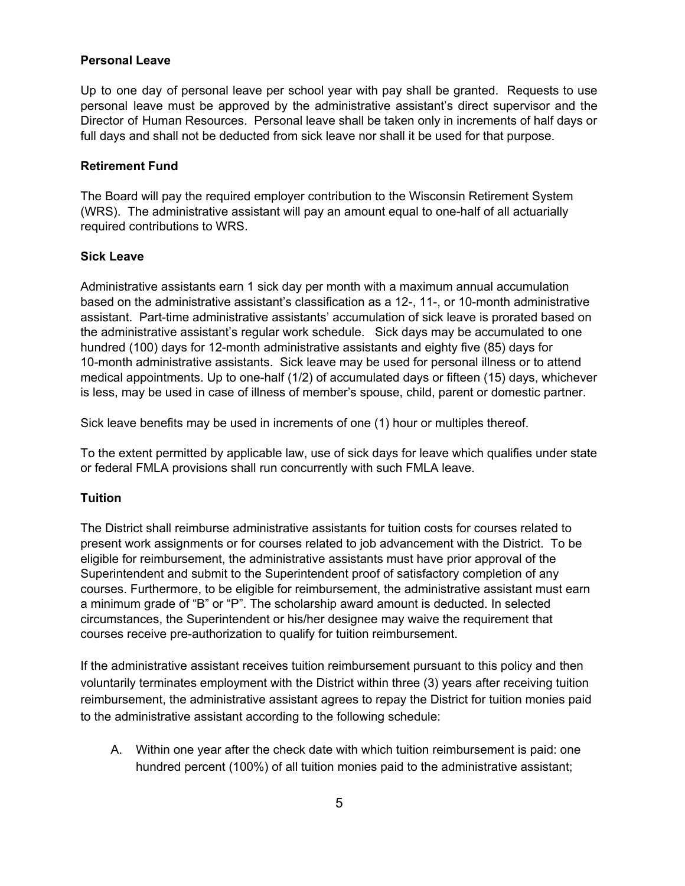## **Personal Leave**

Up to one day of personal leave per school year with pay shall be granted. Requests to use personal leave must be approved by the administrative assistant's direct supervisor and the Director of Human Resources. Personal leave shall be taken only in increments of half days or full days and shall not be deducted from sick leave nor shall it be used for that purpose.

#### **Retirement Fund**

The Board will pay the required employer contribution to the Wisconsin Retirement System (WRS). The administrative assistant will pay an amount equal to one-half of all actuarially required contributions to WRS.

#### **Sick Leave**

Administrative assistants earn 1 sick day per month with a maximum annual accumulation based on the administrative assistant's classification as a 12-, 11-, or 10-month administrative assistant. Part-time administrative assistants' accumulation of sick leave is prorated based on the administrative assistant's regular work schedule. Sick days may be accumulated to one hundred (100) days for 12-month administrative assistants and eighty five (85) days for 10-month administrative assistants. Sick leave may be used for personal illness or to attend medical appointments. Up to one-half  $(1/2)$  of accumulated days or fifteen  $(15)$  days, whichever is less, may be used in case of illness of member's spouse, child, parent or domestic partner.

Sick leave benefits may be used in increments of one (1) hour or multiples thereof.

To the extent permitted by applicable law, use of sick days for leave which qualifies under state or federal FMLA provisions shall run concurrently with such FMLA leave.

#### **Tuition**

The District shall reimburse administrative assistants for tuition costs for courses related to present work assignments or for courses related to job advancement with the District. To be eligible for reimbursement, the administrative assistants must have prior approval of the Superintendent and submit to the Superintendent proof of satisfactory completion of any courses. Furthermore, to be eligible for reimbursement, the administrative assistant must earn a minimum grade of "B" or "P". The scholarship award amount is deducted. In selected circumstances, the Superintendent or his/her designee may waive the requirement that courses receive pre-authorization to qualify for tuition reimbursement.

If the administrative assistant receives tuition reimbursement pursuant to this policy and then voluntarily terminates employment with the District within three (3) years after receiving tuition reimbursement, the administrative assistant agrees to repay the District for tuition monies paid to the administrative assistant according to the following schedule:

A. Within one year after the check date with which tuition reimbursement is paid: one hundred percent (100%) of all tuition monies paid to the administrative assistant;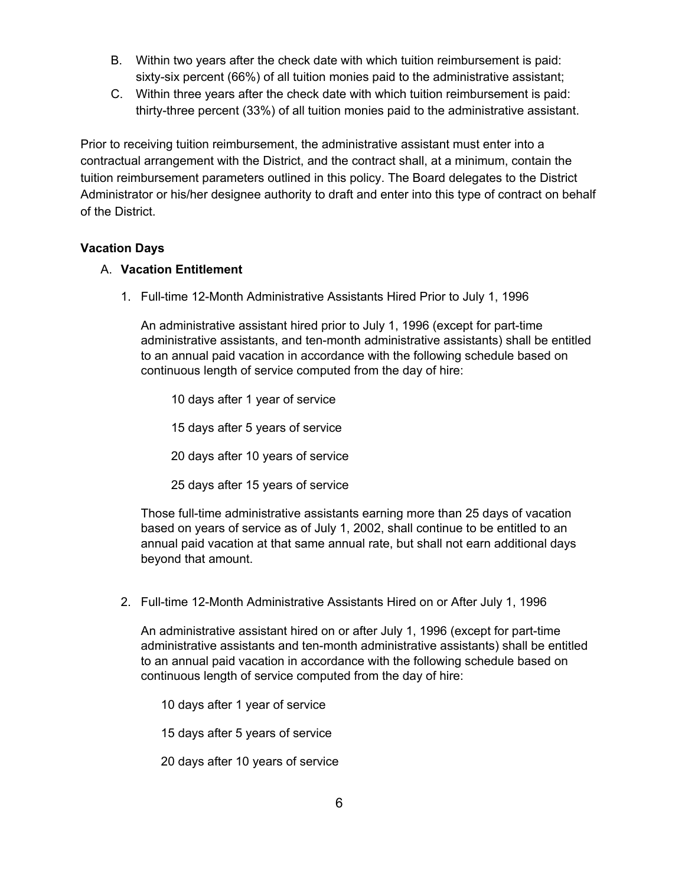- B. Within two years after the check date with which tuition reimbursement is paid: sixty-six percent (66%) of all tuition monies paid to the administrative assistant;
- C. Within three years after the check date with which tuition reimbursement is paid: thirty-three percent (33%) of all tuition monies paid to the administrative assistant.

Prior to receiving tuition reimbursement, the administrative assistant must enter into a contractual arrangement with the District, and the contract shall, at a minimum, contain the tuition reimbursement parameters outlined in this policy. The Board delegates to the District Administrator or his/her designee authority to draft and enter into this type of contract on behalf of the District.

# **Vacation Days**

# A. **Vacation Entitlement**

1. Full-time 12-Month Administrative Assistants Hired Prior to July 1, 1996

An administrative assistant hired prior to July 1, 1996 (except for part-time administrative assistants, and ten-month administrative assistants) shall be entitled to an annual paid vacation in accordance with the following schedule based on continuous length of service computed from the day of hire:

10 days after 1 year of service

15 days after 5 years of service

- 20 days after 10 years of service
- 25 days after 15 years of service

Those full-time administrative assistants earning more than 25 days of vacation based on years of service as of July 1, 2002, shall continue to be entitled to an annual paid vacation at that same annual rate, but shall not earn additional days beyond that amount.

2. Full-time 12-Month Administrative Assistants Hired on or After July 1, 1996

An administrative assistant hired on or after July 1, 1996 (except for part-time administrative assistants and ten-month administrative assistants) shall be entitled to an annual paid vacation in accordance with the following schedule based on continuous length of service computed from the day of hire:

10 days after 1 year of service

15 days after 5 years of service

20 days after 10 years of service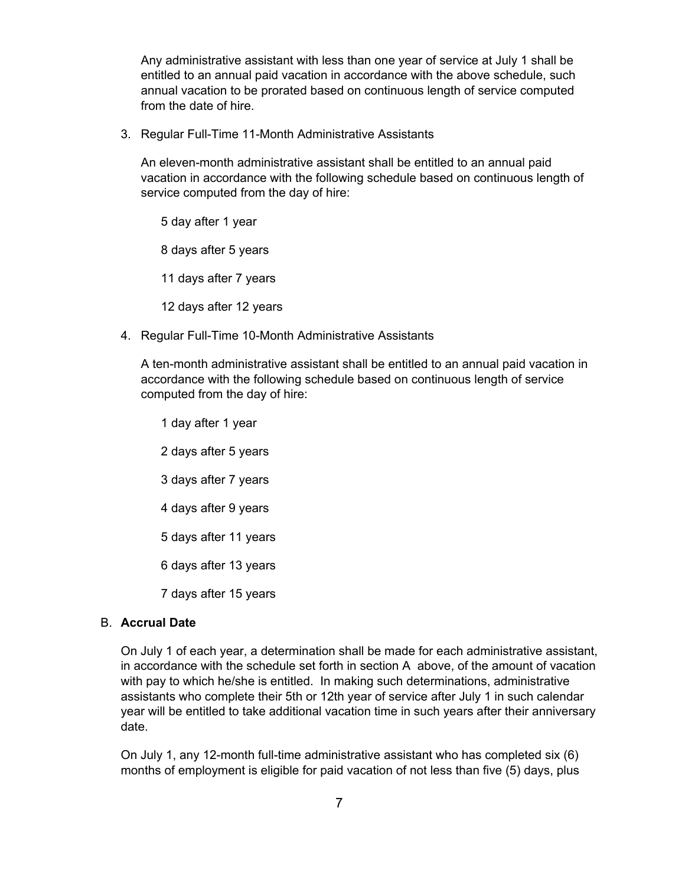Any administrative assistant with less than one year of service at July 1 shall be entitled to an annual paid vacation in accordance with the above schedule, such annual vacation to be prorated based on continuous length of service computed from the date of hire.

3. Regular Full-Time 11-Month Administrative Assistants

An eleven-month administrative assistant shall be entitled to an annual paid vacation in accordance with the following schedule based on continuous length of service computed from the day of hire:

5 day after 1 year 8 days after 5 years

11 days after 7 years

12 days after 12 years

4. Regular Full-Time 10-Month Administrative Assistants

A ten-month administrative assistant shall be entitled to an annual paid vacation in accordance with the following schedule based on continuous length of service computed from the day of hire:

1 day after 1 year 2 days after 5 years 3 days after 7 years 4 days after 9 years 5 days after 11 years 6 days after 13 years 7 days after 15 years

# B. **Accrual Date**

On July 1 of each year, a determination shall be made for each administrative assistant, in accordance with the schedule set forth in section A above, of the amount of vacation with pay to which he/she is entitled. In making such determinations, administrative assistants who complete their 5th or 12th year of service after July 1 in such calendar year will be entitled to take additional vacation time in such years after their anniversary date.

On July 1, any 12-month full-time administrative assistant who has completed six  $(6)$ months of employment is eligible for paid vacation of not less than five (5) days, plus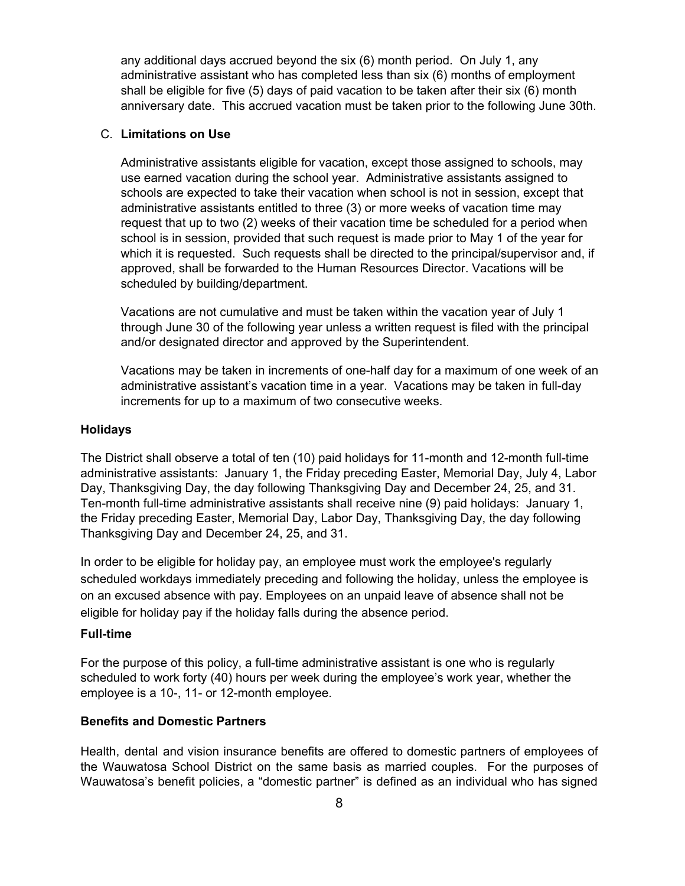any additional days accrued beyond the six (6) month period. On July 1, any administrative assistant who has completed less than six (6) months of employment shall be eligible for five (5) days of paid vacation to be taken after their six (6) month anniversary date. This accrued vacation must be taken prior to the following June 30th.

#### C. **Limitations on Use**

Administrative assistants eligible for vacation, except those assigned to schools, may use earned vacation during the school year. Administrative assistants assigned to schools are expected to take their vacation when school is not in session, except that administrative assistants entitled to three (3) or more weeks of vacation time may request that up to two (2) weeks of their vacation time be scheduled for a period when school is in session, provided that such request is made prior to May 1 of the year for which it is requested. Such requests shall be directed to the principal/supervisor and, if approved, shall be forwarded to the Human Resources Director. Vacations will be scheduled by building/department.

Vacations are not cumulative and must be taken within the vacation year of July 1 through June 30 of the following year unless a written request is filed with the principal and/or designated director and approved by the Superintendent.

Vacations may be taken in increments of one-half day for a maximum of one week of an administrative assistant's vacation time in a year. Vacations may be taken in full-day increments for up to a maximum of two consecutive weeks.

#### **Holidays**

The District shall observe a total of ten (10) paid holidays for 11-month and 12-month full-time administrative assistants: January 1, the Friday preceding Easter, Memorial Day, July 4, Labor Day, Thanksgiving Day, the day following Thanksgiving Day and December 24, 25, and 31. Ten-month full-time administrative assistants shall receive nine (9) paid holidays: January 1, the Friday preceding Easter, Memorial Day, Labor Day, Thanksgiving Day, the day following Thanksgiving Day and December 24, 25, and 31.

In order to be eligible for holiday pay, an employee must work the employee's regularly scheduled workdays immediately preceding and following the holiday, unless the employee is on an excused absence with pay. Employees on an unpaid leave of absence shall not be eligible for holiday pay if the holiday falls during the absence period.

#### **Full-time**

For the purpose of this policy, a full-time administrative assistant is one who is regularly scheduled to work forty (40) hours per week during the employee's work year, whether the employee is a 10-, 11- or 12-month employee.

#### **Benefits and Domestic Partners**

Health, dental and vision insurance benefits are offered to domestic partners of employees of the Wauwatosa School District on the same basis as married couples. For the purposes of Wauwatosa's benefit policies, a "domestic partner" is defined as an individual who has signed